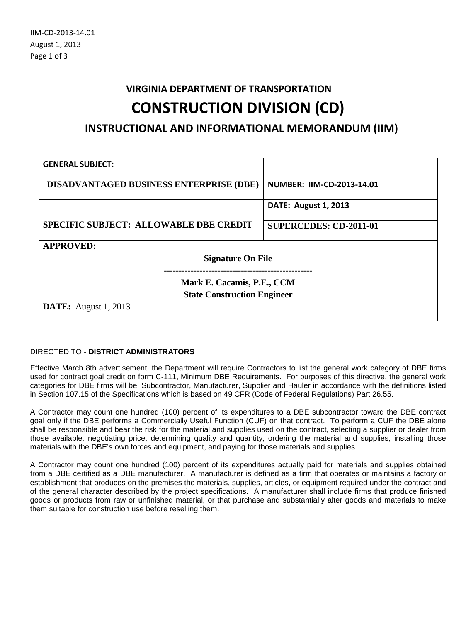## **VIRGINIA DEPARTMENT OF TRANSPORTATION CONSTRUCTION DIVISION (CD)**

**INSTRUCTIONAL AND INFORMATIONAL MEMORANDUM (IIM)**

| <b>GENERAL SUBJECT:</b>                        |                               |  |  |  |  |  |
|------------------------------------------------|-------------------------------|--|--|--|--|--|
| <b>DISADVANTAGED BUSINESS ENTERPRISE (DBE)</b> | NUMBER: IIM-CD-2013-14.01     |  |  |  |  |  |
|                                                | <b>DATE: August 1, 2013</b>   |  |  |  |  |  |
| <b>SPECIFIC SUBJECT: ALLOWABLE DBE CREDIT</b>  | <b>SUPERCEDES: CD-2011-01</b> |  |  |  |  |  |
| <b>APPROVED:</b>                               |                               |  |  |  |  |  |
| <b>Signature On File</b>                       |                               |  |  |  |  |  |
|                                                |                               |  |  |  |  |  |
| Mark E. Cacamis, P.E., CCM                     |                               |  |  |  |  |  |
| <b>State Construction Engineer</b>             |                               |  |  |  |  |  |
| <b>DATE:</b> August 1, 2013                    |                               |  |  |  |  |  |

## DIRECTED TO - **DISTRICT ADMINISTRATORS**

Effective March 8th advertisement, the Department will require Contractors to list the general work category of DBE firms used for contract goal credit on form C-111, Minimum DBE Requirements. For purposes of this directive, the general work categories for DBE firms will be: Subcontractor, Manufacturer, Supplier and Hauler in accordance with the definitions listed in Section 107.15 of the Specifications which is based on 49 CFR (Code of Federal Regulations) Part 26.55.

A Contractor may count one hundred (100) percent of its expenditures to a DBE subcontractor toward the DBE contract goal only if the DBE performs a Commercially Useful Function (CUF) on that contract. To perform a CUF the DBE alone shall be responsible and bear the risk for the material and supplies used on the contract, selecting a supplier or dealer from those available, negotiating price, determining quality and quantity, ordering the material and supplies, installing those materials with the DBE's own forces and equipment, and paying for those materials and supplies.

A Contractor may count one hundred (100) percent of its expenditures actually paid for materials and supplies obtained from a DBE certified as a DBE manufacturer. A manufacturer is defined as a firm that operates or maintains a factory or establishment that produces on the premises the materials, supplies, articles, or equipment required under the contract and of the general character described by the project specifications. A manufacturer shall include firms that produce finished goods or products from raw or unfinished material, or that purchase and substantially alter goods and materials to make them suitable for construction use before reselling them.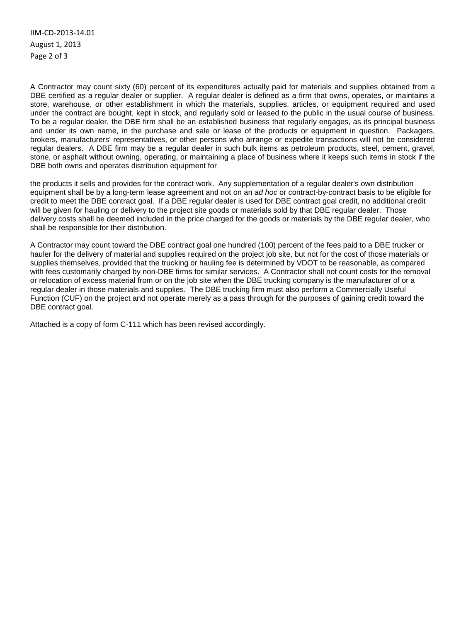IIM-CD-2013-14.01 August 1, 2013 Page 2 of 3

A Contractor may count sixty (60) percent of its expenditures actually paid for materials and supplies obtained from a DBE certified as a regular dealer or supplier. A regular dealer is defined as a firm that owns, operates, or maintains a store, warehouse, or other establishment in which the materials, supplies, articles, or equipment required and used under the contract are bought, kept in stock, and regularly sold or leased to the public in the usual course of business. To be a regular dealer, the DBE firm shall be an established business that regularly engages, as its principal business and under its own name, in the purchase and sale or lease of the products or equipment in question. Packagers, brokers, manufacturers' representatives, or other persons who arrange or expedite transactions will not be considered regular dealers. A DBE firm may be a regular dealer in such bulk items as petroleum products, steel, cement, gravel, stone, or asphalt without owning, operating, or maintaining a place of business where it keeps such items in stock if the DBE both owns and operates distribution equipment for

the products it sells and provides for the contract work. Any supplementation of a regular dealer's own distribution equipment shall be by a long-term lease agreement and not on an *ad hoc* or contract-by-contract basis to be eligible for credit to meet the DBE contract goal. If a DBE regular dealer is used for DBE contract goal credit, no additional credit will be given for hauling or delivery to the project site goods or materials sold by that DBE regular dealer. Those delivery costs shall be deemed included in the price charged for the goods or materials by the DBE regular dealer, who shall be responsible for their distribution.

A Contractor may count toward the DBE contract goal one hundred (100) percent of the fees paid to a DBE trucker or hauler for the delivery of material and supplies required on the project job site, but not for the cost of those materials or supplies themselves, provided that the trucking or hauling fee is determined by VDOT to be reasonable, as compared with fees customarily charged by non-DBE firms for similar services. A Contractor shall not count costs for the removal or relocation of excess material from or on the job site when the DBE trucking company is the manufacturer of or a regular dealer in those materials and supplies. The DBE trucking firm must also perform a Commercially Useful Function (CUF) on the project and not operate merely as a pass through for the purposes of gaining credit toward the DBE contract goal.

Attached is a copy of form C-111 which has been revised accordingly.